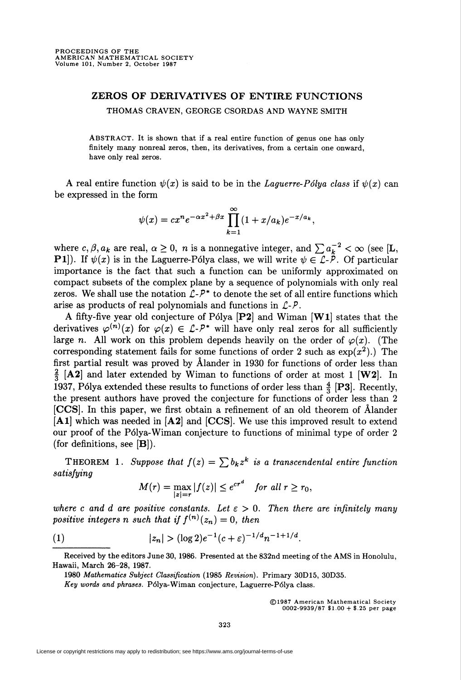## ZEROS OF DERIVATIVES OF ENTIRE FUNCTIONS THOMAS CRAVEN, GEORGE CSORDAS AND WAYNE SMITH

ABSTRACT. It is shown that if a real entire function of genus one has only finitely many nonreal zeros, then, its derivatives, from a certain one onward, have only real zeros.

A real entire function  $\psi(x)$  is said to be in the *Laguerre-Pólya class* if  $\psi(x)$  can be expressed in the form

$$
\psi(x) = cx^n e^{-\alpha x^2 + \beta x} \prod_{k=1}^{\infty} (1 + x/a_k) e^{-x/a_k},
$$

where  $c, \beta, a_k$  are real,  $\alpha \geq 0$ , n is a nonnegative integer, and  $\sum a_k^{-2} < \infty$  (see [L, **P1**). If  $\psi(x)$  is in the Laguerre-Pólya class, we will write  $\psi \in \mathcal{L}$ - $\ddot{P}$ . Of particular importance is the fact that such a function can be uniformly approximated on compact subsets of the complex plane by a sequence of polynomials with only real zeros. We shall use the notation  $\mathcal{L}$ - $\mathcal{P}^*$  to denote the set of all entire functions which arise as products of real polynomials and functions in  $\mathcal{L}$ - $\mathcal{P}$ .

A fifty-five year old conjecture of Pólya  $[P2]$  and Wiman  $[W1]$  states that the derivatives  $\varphi^{(n)}(x)$  for  $\varphi(x) \in \mathcal{L}$ -P<sup>\*</sup> will have only real zeros for all sufficiently large n. All work on this problem depends heavily on the order of  $\varphi(x)$ . (The corresponding statement fails for some functions of order 2 such as  $\exp(x^2)$ .) The first partial result was proved by Âlander in 1930 for functions of order less than  $\frac{2}{3}$  [A2] and later extended by Wiman to functions of order at most 1 [W2]. In 1937, Pólya extended these results to functions of order less than  $\frac{4}{3}$  [P3]. Recently, the present authors have proved the conjecture for functions of order less than 2 [CCS]. In this paper, we first obtain a refinement of an old theorem of Âlander [Al] which was needed in [A2] and [CCS]. We use this improved result to extend our proof of the Pólya-Wiman conjecture to functions of minimal type of order 2 (for definitions, see  $[B]$ ).

THEOREM 1. Suppose that  $f(z) = \sum b_k z^k$  is a transcendental entire function satisfying

$$
M(r) = \max_{|z|=r} |f(z)| \le e^{cr^d} \quad \text{for all } r \ge r_0,
$$

where c and d are positive constants. Let  $\varepsilon > 0$ . Then there are infinitely many positive integers n such that if  $f^{(n)}(z_n) = 0$ , then

(1) 
$$
|z_n| > (\log 2)e^{-1}(c+\varepsilon)^{-1/d}n^{-1+1/d}.
$$

Received by the editors June 30, 1986. Presented at the 832nd meeting of the AMS in Honolulu, Hawaii, March 26-28, 1987.

1980 Mathematics Subject Classification (1985 Revision). Primary 30D15, 30D35.

Key words and phrases. Pólya-Wiman conjecture, Laguerre-Pólya class.

©1987 American Mathematical Society 0002-9939/87 \$1.00+ \$.25 per page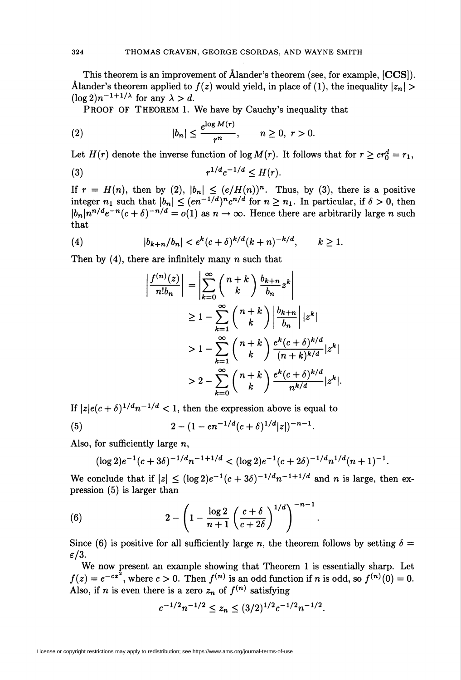This theorem is an improvement of Âlander's theorem (see, for example, [CCS]). Ålander's theorem applied to  $f(z)$  would yield, in place of (1), the inequality  $\left|z_n\right| >$  $(\log 2)n^{-1+1/\lambda}$  for any  $\lambda > d$ .

PROOF OF THEOREM 1. We have by Cauchy's inequality that

$$
(2) \t\t\t |b_n| \leq \frac{e^{\log M(r)}}{r^n}, \t n \geq 0, r > 0.
$$

Let  $H(r)$  denote the inverse function of log  $M(r)$ . It follows that for  $r \geq cr_0^d = r_1$ ,

(3) 
$$
r^{1/d}c^{-1/d} \leq H(r).
$$

If  $r = H(n)$ , then by (2),  $|b_n| \leq (e/H(n))^n$ . Thus, by (3), there is a positive integer  $n_1$  such that  $|b_n| \leq (en^{-1/d})^n c^{n/d}$  for  $n \geq n_1$ . In particular, if  $\delta > 0$ , then  $\vert b_n \vert n^{n/d} e^{-n} (c + \delta)^{-n/d} = o(1)$  as  $n \to \infty$ . Hence there are arbitrarily large n such that

(4) 
$$
|b_{k+n}/b_n| < e^k (c+\delta)^{k/d} (k+n)^{-k/d}, \qquad k \ge 1.
$$

Then by  $(4)$ , there are infinitely many n such that

$$
\left| \frac{f^{(n)}(z)}{n!b_n} \right| = \left| \sum_{k=0}^{\infty} {n+k \choose k} \frac{b_{k+n}}{b_n} z^k \right|
$$
  
\n
$$
\geq 1 - \sum_{k=1}^{\infty} {n+k \choose k} \frac{b_{k+n}}{b_n} |z^k|
$$
  
\n
$$
> 1 - \sum_{k=1}^{\infty} {n+k \choose k} \frac{e^k (c+\delta)^{k/d}}{(n+k)^{k/d}} |z^k|
$$
  
\n
$$
> 2 - \sum_{k=0}^{\infty} {n+k \choose k} \frac{e^k (c+\delta)^{k/d}}{n^{k/d}} |z^k|.
$$

If  $|z|e(c + \delta)^{1/d}n^{-1/d} < 1$ , then the expression above is equal to

(5) 
$$
2 - (1 - e n^{-1/d} (c + \delta)^{1/d} |z|)^{-n-1}.
$$

Also, for sufficiently large  $n$ ,

$$
(\log 2)e^{-1}(c+3\delta)^{-1/d}n^{-1+1/d} < (\log 2)e^{-1}(c+2\delta)^{-1/d}n^{1/d}(n+1)^{-1}.
$$

We conclude that if  $|z| \leq (\log 2)e^{-1}(c + 3\delta)^{-1/d}n^{-1+1/d}$  and n is large, then expression (5) is larger than

(6) 
$$
2 - \left(1 - \frac{\log 2}{n+1} \left(\frac{c+\delta}{c+2\delta}\right)^{1/d}\right)^{-n-1}
$$

Since (6) is positive for all sufficiently large n, the theorem follows by setting  $\delta =$  $\varepsilon/3$ .

We now present an example showing that Theorem 1 is essentially sharp. Let  $f(z) = e^{-cz^2}$ , where  $c > 0$ . Then  $f^{(n)}$  is an odd function if n is odd, so  $f^{(n)}(0) = 0$ . Also, if n is even there is a zero  $z_n$  of  $f^{(n)}$  satisfying

$$
c^{-1/2}n^{-1/2} \le z_n \le (3/2)^{1/2}c^{-1/2}n^{-1/2}.
$$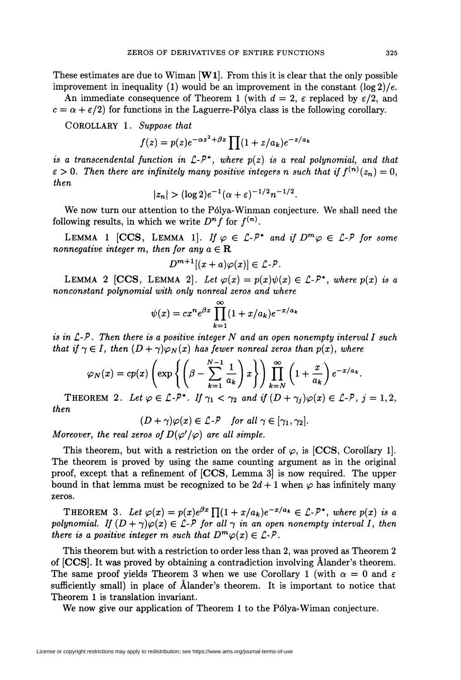These estimates are due to Wiman  $[\mathbf{W1}]$ . From this it is clear that the only possible improvement in inequality (1) would be an improvement in the constant  $(\log 2)/e$ .

An immediate consequence of Theorem 1 (with  $d = 2$ ,  $\varepsilon$  replaced by  $\varepsilon/2$ , and  $c = \alpha + \epsilon/2$  for functions in the Laguerre-Pólya class is the following corollary.

COROLLARY 1. Suppose that

$$
f(z) = p(z)e^{-\alpha z^2 + \beta z} \prod (1 + z/a_k)e^{-z/a_k}
$$

is a transcendental function in  $\mathcal{L}$ - $\mathcal{P}^*$ , where  $p(z)$  is a real polynomial, and that  $\varepsilon > 0$ . Then there are infinitely many positive integers n such that if  $f^{(n)}(z_n) = 0$ , then

$$
|z_n| > (\log 2)e^{-1}(\alpha + \varepsilon)^{-1/2}n^{-1/2}.
$$

We now turn our attention to the Pólya-Winman conjecture. We shall need the following results, in which we write  $D^n f$  for  $f^{(n)}$ .

LEMMA 1 [CCS, LEMMA 1]. If  $\varphi \in \mathcal{L}$ - $P^*$  and if  $D^m \varphi \in \mathcal{L}$ - $P$  for some nonnegative integer m, then for any  $a \in \mathbf{R}$ 

$$
D^{m+1}[(x+a)\varphi(x)] \in \mathcal{L} \text{-} \mathcal{P}.
$$

LEMMA 2 [CCS, LEMMA 2]. Let  $\varphi(x) = p(x)\psi(x) \in \mathcal{L}$ -P\*, where  $p(x)$  is a nonconstant polynomial with only nonreal zeros and where

$$
\psi(x) = cx^n e^{\beta x} \prod_{k=1}^{\infty} (1 + x/a_k) e^{-x/a_k}
$$

is in  $\mathcal{L}$ -P. Then there is a positive integer N and an open nonempty interval I such that if  $\gamma \in I$ , then  $(D + \gamma)\varphi_N(x)$  has fewer nonreal zeros than  $p(x)$ , where

$$
\varphi_N(x) = cp(x) \left( \exp \left\{ \left( \beta - \sum_{k=1}^{N-1} \frac{1}{a_k} \right) x \right\} \right) \prod_{k=N}^{\infty} \left( 1 + \frac{x}{a_k} \right) e^{-x/a_k}.
$$

THEOREM 2. Let  $\varphi \in \mathcal{L} - P^*$ . If  $\gamma_1 < \gamma_2$  and if  $(D + \gamma_i)\varphi(x) \in \mathcal{L} - P$ ,  $j = 1, 2$ , then

$$
(D+\gamma)\varphi(x)\in \mathcal{L}\text{-}\mathcal{P}\quad\text{for all }\gamma\in[\gamma_1,\gamma_2].
$$

Moreover, the real zeros of  $D(\varphi'/\varphi)$  are all simple.

This theorem, but with a restriction on the order of  $\varphi$ , is [CCS, Corollary 1]. The theorem is proved by using the same counting argument as in the original proof, except that a refinement of [CCS, Lemma 3] is now required. The upper bound in that lemma must be recognized to be  $2d + 1$  when  $\varphi$  has infinitely many zeros.

THEOREM 3. Let  $\varphi(x) = p(x)e^{\beta x} \prod_{i=1}^{n} (1 + x/a_k)e^{-x/a_k} \in \mathcal{L}$ -P\*, where  $p(x)$  is a polynomial. If  $(D + \gamma)\varphi(x) \in \mathcal{L}$ -P for all  $\gamma$  in an open nonempty interval I, then there is a positive integer m such that  $D^m\varphi(x) \in \mathcal{L}$ -P.

This theorem but with a restriction to order less than 2, was proved as Theorem 2 of [CCS]. It was proved by obtaining a contradiction involving Âlander's theorem. The same proof yields Theorem 3 when we use Corollary 1 (with  $\alpha = 0$  and  $\varepsilon$ sufficiently small) in place of Âlander's theorem. It is important to notice that Theorem 1 is translation invariant.

We now give our application of Theorem 1 to the Pólya-Wiman conjecture.